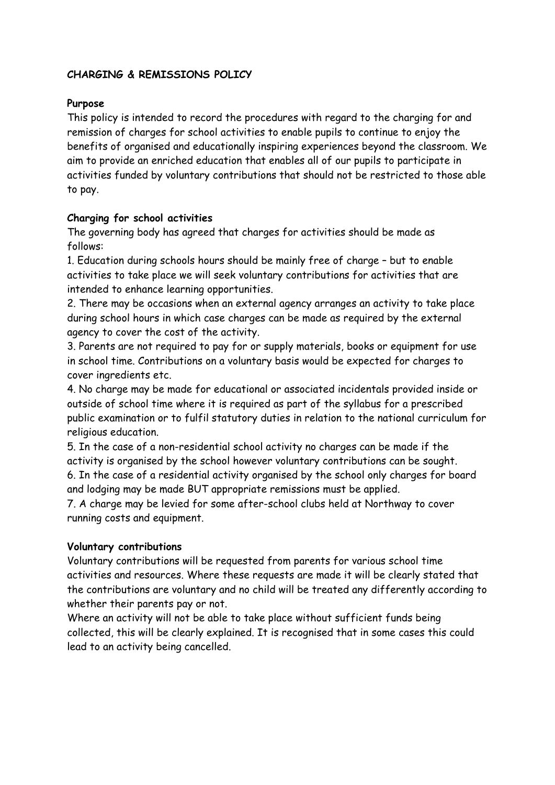# **CHARGING & REMISSIONS POLICY**

#### **Purpose**

This policy is intended to record the procedures with regard to the charging for and remission of charges for school activities to enable pupils to continue to enjoy the benefits of organised and educationally inspiring experiences beyond the classroom. We aim to provide an enriched education that enables all of our pupils to participate in activities funded by voluntary contributions that should not be restricted to those able to pay.

### **Charging for school activities**

The governing body has agreed that charges for activities should be made as follows:

1. Education during schools hours should be mainly free of charge – but to enable activities to take place we will seek voluntary contributions for activities that are intended to enhance learning opportunities.

2. There may be occasions when an external agency arranges an activity to take place during school hours in which case charges can be made as required by the external agency to cover the cost of the activity.

3. Parents are not required to pay for or supply materials, books or equipment for use in school time. Contributions on a voluntary basis would be expected for charges to cover ingredients etc.

4. No charge may be made for educational or associated incidentals provided inside or outside of school time where it is required as part of the syllabus for a prescribed public examination or to fulfil statutory duties in relation to the national curriculum for religious education.

5. In the case of a non-residential school activity no charges can be made if the activity is organised by the school however voluntary contributions can be sought. 6. In the case of a residential activity organised by the school only charges for board and lodging may be made BUT appropriate remissions must be applied.

7. A charge may be levied for some after-school clubs held at Northway to cover running costs and equipment.

### **Voluntary contributions**

Voluntary contributions will be requested from parents for various school time activities and resources. Where these requests are made it will be clearly stated that the contributions are voluntary and no child will be treated any differently according to whether their parents pay or not.

Where an activity will not be able to take place without sufficient funds being collected, this will be clearly explained. It is recognised that in some cases this could lead to an activity being cancelled.